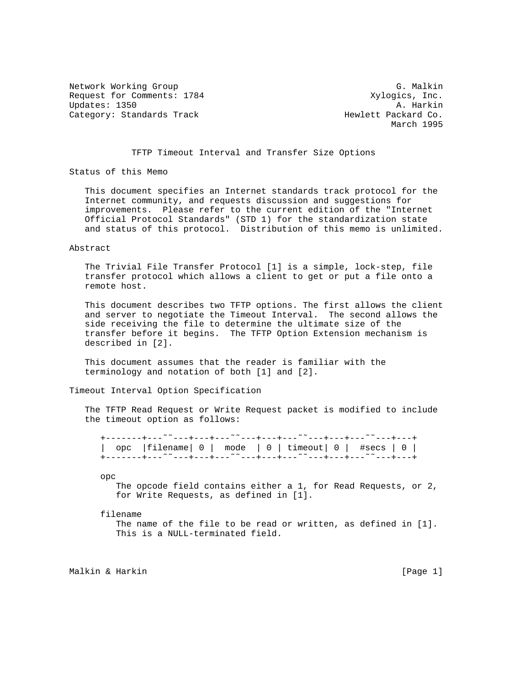Network Working Group G. Malkin G. Malkin Request for Comments: 1784 Xylogics, Inc.<br>Updates: 1350 A. Harkin Updates: 1350 Category: Standards Track Hewlett Packard Co.

March 1995

## TFTP Timeout Interval and Transfer Size Options

Status of this Memo

 This document specifies an Internet standards track protocol for the Internet community, and requests discussion and suggestions for improvements. Please refer to the current edition of the "Internet Official Protocol Standards" (STD 1) for the standardization state and status of this protocol. Distribution of this memo is unlimited.

## Abstract

 The Trivial File Transfer Protocol [1] is a simple, lock-step, file transfer protocol which allows a client to get or put a file onto a remote host.

 This document describes two TFTP options. The first allows the client and server to negotiate the Timeout Interval. The second allows the side receiving the file to determine the ultimate size of the transfer before it begins. The TFTP Option Extension mechanism is described in [2].

 This document assumes that the reader is familiar with the terminology and notation of both [1] and [2].

Timeout Interval Option Specification

 The TFTP Read Request or Write Request packet is modified to include the timeout option as follows:

|  |  | opc   filename  $0$   mode   $0$   timeout  $0$   #secs   $0$                                                       |
|--|--|---------------------------------------------------------------------------------------------------------------------|
|  |  |                                                                                                                     |
|  |  | +-------+--- <sup>~~</sup> ~--+---+--- <sup>~~</sup> ~---+---+--- <sup>~~</sup> ---++---+ <sup>~</sup> ~--+---+---+ |
|  |  |                                                                                                                     |

opc

 The opcode field contains either a 1, for Read Requests, or 2, for Write Requests, as defined in [1].

filename

 The name of the file to be read or written, as defined in [1]. This is a NULL-terminated field.

Malkin & Harkin (Page 1)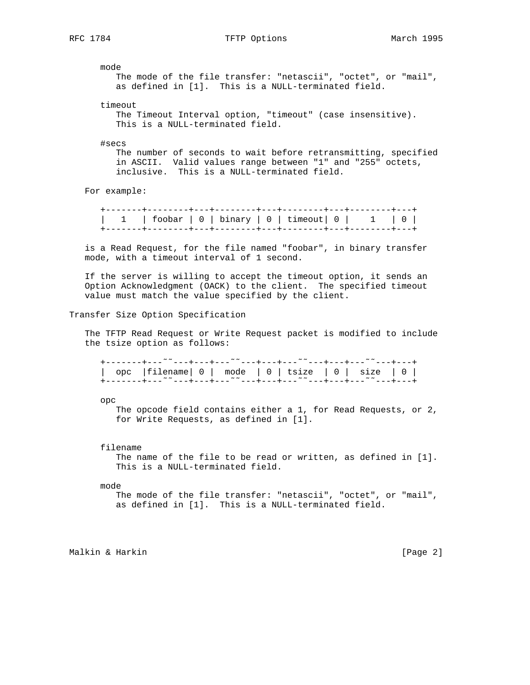mode

 The mode of the file transfer: "netascii", "octet", or "mail", as defined in [1]. This is a NULL-terminated field.

timeout

 The Timeout Interval option, "timeout" (case insensitive). This is a NULL-terminated field.

#secs

 The number of seconds to wait before retransmitting, specified in ASCII. Valid values range between "1" and "255" octets, inclusive. This is a NULL-terminated field.

For example:

 +-------+--------+---+--------+---+--------+---+--------+---+ | 1 | foobar | 0 | binary | 0 | timeout| 0 | 1 | 0 | +-------+--------+---+--------+---+--------+---+--------+---+

 is a Read Request, for the file named "foobar", in binary transfer mode, with a timeout interval of 1 second.

 If the server is willing to accept the timeout option, it sends an Option Acknowledgment (OACK) to the client. The specified timeout value must match the value specified by the client.

Transfer Size Option Specification

 The TFTP Read Request or Write Request packet is modified to include the tsize option as follows:

|  | +-------+--- <sup>~~</sup> ~--+---+--- <sup>~~</sup> ~---+---+--- <sup>~~</sup> ---+---+--- <sup>~~</sup> ~---+---+ |  |
|--|---------------------------------------------------------------------------------------------------------------------|--|
|  |                                                                                                                     |  |
|  | opc   filename  $0$   mode   $0$   tsize   $0$   size   $0$                                                         |  |
|  |                                                                                                                     |  |
|  | +-------+--- <sup>~~</sup> ---+---+--- <sup>~~</sup> ---+---+---- <sup>~~</sup> ---+---+--- <sup>~</sup> ~---+---+  |  |

opc

 The opcode field contains either a 1, for Read Requests, or 2, for Write Requests, as defined in [1].

filename

The name of the file to be read or written, as defined in [1]. This is a NULL-terminated field.

mode

 The mode of the file transfer: "netascii", "octet", or "mail", as defined in [1]. This is a NULL-terminated field.

Malkin & Harkin [Page 2]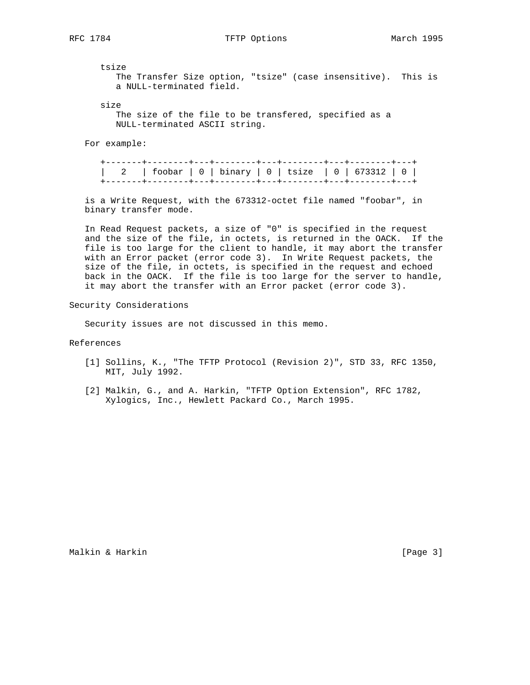RFC 1784 **TETP Options** The March 1995

tsize

 The Transfer Size option, "tsize" (case insensitive). This is a NULL-terminated field.

size

 The size of the file to be transfered, specified as a NULL-terminated ASCII string.

For example:

 +-------+--------+---+--------+---+--------+---+--------+---+ | 2 | foobar | 0 | binary | 0 | tsize | 0 | 673312 | 0 | +-------+--------+---+--------+---+--------+---+--------+---+

 is a Write Request, with the 673312-octet file named "foobar", in binary transfer mode.

 In Read Request packets, a size of "0" is specified in the request and the size of the file, in octets, is returned in the OACK. If the file is too large for the client to handle, it may abort the transfer with an Error packet (error code 3). In Write Request packets, the size of the file, in octets, is specified in the request and echoed back in the OACK. If the file is too large for the server to handle, it may abort the transfer with an Error packet (error code 3).

Security Considerations

Security issues are not discussed in this memo.

References

- [1] Sollins, K., "The TFTP Protocol (Revision 2)", STD 33, RFC 1350, MIT, July 1992.
- [2] Malkin, G., and A. Harkin, "TFTP Option Extension", RFC 1782, Xylogics, Inc., Hewlett Packard Co., March 1995.

Malkin & Harkin [Page 3]